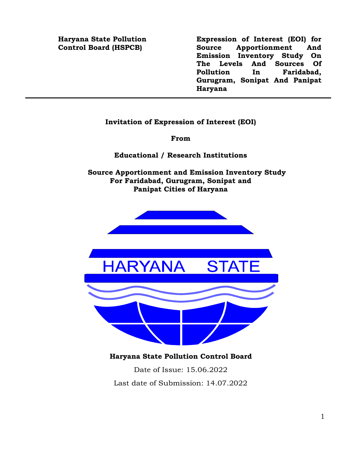#### **Haryana State Pollution Control Board (HSPCB)**

**Expression of Interest (EOI) for Source Apportionment And Emission Inventory Study On The Levels And Sources Of Pollution In Faridabad, Gurugram, Sonipat And Panipat Haryana**

#### **Invitation of Expression of Interest (EOI)**

**From**

**Educational / Research Institutions**

**Source Apportionment and Emission Inventory Study For Faridabad, Gurugram, Sonipat and Panipat Cities of Haryana**



**Haryana State Pollution Control Board**

Date of Issue: 15.06.2022 Last date of Submission: 14.07.2022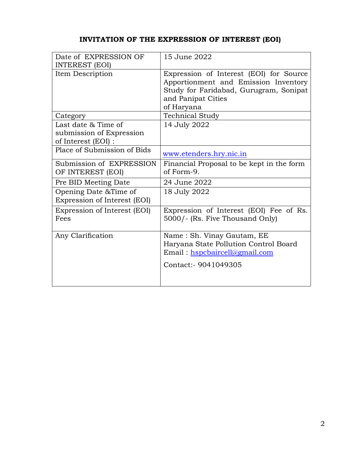## **INVITATION OF THE EXPRESSION OF INTEREST (EOI)**

| Date of EXPRESSION OF<br><b>INTEREST (EOI)</b>                           | 15 June 2022                                                                                                                                                  |
|--------------------------------------------------------------------------|---------------------------------------------------------------------------------------------------------------------------------------------------------------|
| Item Description                                                         | Expression of Interest (EOI) for Source<br>Apportionment and Emission Inventory<br>Study for Faridabad, Gurugram, Sonipat<br>and Panipat Cities<br>of Haryana |
| Category                                                                 | <b>Technical Study</b>                                                                                                                                        |
| Last date $&$ Time of<br>submission of Expression<br>of Interest (EOI) : | 14 July 2022                                                                                                                                                  |
| Place of Submission of Bids                                              | www.etenders.hry.nic.in                                                                                                                                       |
| Submission of EXPRESSION<br>OF INTEREST (EOI)                            | Financial Proposal to be kept in the form<br>of Form-9.                                                                                                       |
| Pre BID Meeting Date                                                     | 24 June 2022                                                                                                                                                  |
| Opening Date & Time of<br>Expression of Interest (EOI)                   | 18 July 2022                                                                                                                                                  |
| Expression of Interest (EOI)<br>Fees                                     | Expression of Interest (EOI) Fee of Rs.<br>5000/- (Rs. Five Thousand Only)                                                                                    |
| Any Clarification                                                        | Name: Sh. Vinay Gautam, EE<br>Haryana State Pollution Control Board<br>Email: hspcbaircell@gmail.com<br>Contact: - 9041049305                                 |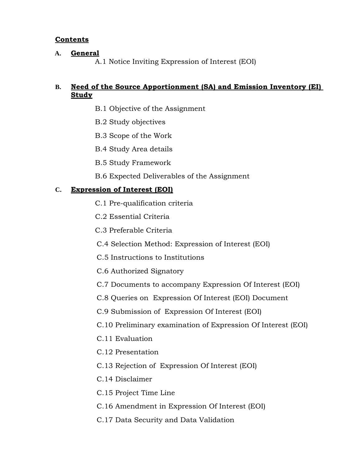## **Contents**

## **A. General**

A.1 Notice Inviting Expression of Interest (EOI)

## **B. Need of the Source Apportionment (SA) and Emission Inventory (EI) Study**

- B.1 Objective of the Assignment
- B.2 Study objectives
- B.3 Scope of the Work
- B.4 Study Area details
- B.5 Study Framework
- B.6 Expected Deliverables of the Assignment

## **C. Expression of Interest (EOI)**

- C.1 Pre-qualification criteria
- C.2 Essential Criteria
- C.3 Preferable Criteria
- C.4 Selection Method: Expression of Interest (EOI)
- C.5 Instructions to Institutions
- C.6 Authorized Signatory
- C.7 Documents to accompany Expression Of Interest (EOI)
- C.8 Queries on Expression Of Interest (EOI) Document
- C.9 Submission of Expression Of Interest (EOI)
- C.10 Preliminary examination of Expression Of Interest (EOI)
- C.11 Evaluation
- C.12 Presentation
- C.13 Rejection of Expression Of Interest (EOI)
- C.14 Disclaimer
- C.15 Project Time Line
- C.16 Amendment in Expression Of Interest (EOI)
- C.17 Data Security and Data Validation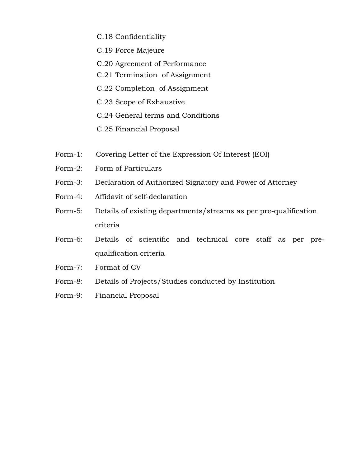- C.18 Confidentiality
- C.19 Force Majeure
- C.20 Agreement of Performance
- C.21 Termination of Assignment
- C.22 Completion of Assignment
- C.23 Scope of Exhaustive
- C.24 General terms and Conditions
- C.25 Financial Proposal
- Form-1: Covering Letter of the Expression Of Interest (EOI)
- Form-2: Form of Particulars
- Form-3: Declaration of Authorized Signatory and Power of Attorney
- Form-4: Affidavit of self-declaration
- Form-5: Details of existing departments/streams as per pre-qualification criteria
- Form-6: Details of scientific and technical core staff as per prequalification criteria
- Form-7: Format of CV
- Form-8: Details of Projects/Studies conducted by Institution
- Form-9: Financial Proposal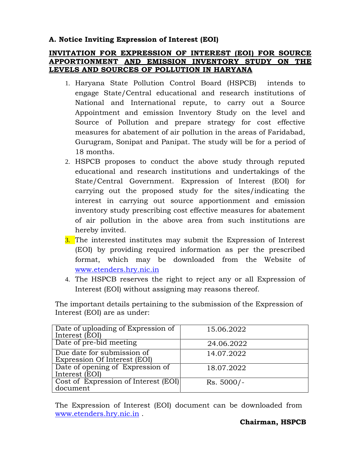## **A. Notice Inviting Expression of Interest (EOI)**

## **INVITATION FOR EXPRESSION OF INTEREST (EOI) FOR SOURCE APPORTIONMENT AND EMISSION INVENTORY STUDY ON THE LEVELS AND SOURCES OF POLLUTION IN HARYANA**

- 1. Haryana State Pollution Control Board (HSPCB) intends to engage State/Central educational and research institutions of National and International repute, to carry out a Source Appointment and emission Inventory Study on the level and Source of Pollution and prepare strategy for cost effective measures for abatement of air pollution in the areas of Faridabad, Gurugram, Sonipat and Panipat. The study will be for a period of 18 months.
- 2. HSPCB proposes to conduct the above study through reputed educational and research institutions and undertakings of the State/Central Government. Expression of Interest (EOI) for carrying out the proposed study for the sites/indicating the interest in carrying out source apportionment and emission inventory study prescribing cost effective measures for abatement of air pollution in the above area from such institutions are hereby invited.
- 3. The interested institutes may submit the Expression of Interest (EOI) by providing required information as per the prescribed format, which may be downloaded from the Website of [www.etenders.hry.nic.in](http://www.etenders.hry.nic.in/)
- 4. The HSPCB reserves the right to reject any or all Expression of Interest (EOI) without assigning may reasons thereof.

| Date of uploading of Expression of<br>Interest (EOI)       | 15.06.2022   |
|------------------------------------------------------------|--------------|
| Date of pre-bid meeting                                    | 24.06.2022   |
| Due date for submission of<br>Expression Of Interest (EOI) | 14.07.2022   |
| Date of opening of Expression of<br>Interest (EOI)         | 18.07.2022   |
| Cost of Expression of Interest (EOI)<br>document           | $Rs. 5000/-$ |

The important details pertaining to the submission of the Expression of Interest (EOI) are as under:

The Expression of Interest (EOI) document can be downloaded from [www.etenders.hry.nic.in](http://www.etenders.hry.nic.in/) .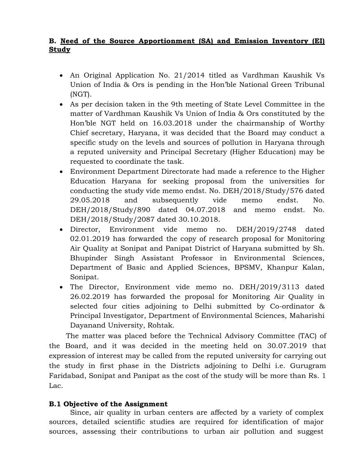## **B. Need of the Source Apportionment (SA) and Emission Inventory (EI) Study**

- An Original Application No. 21/2014 titled as Vardhman Kaushik Vs Union of India & Ors is pending in the Hon'ble National Green Tribunal (NGT).
- As per decision taken in the 9th meeting of State Level Committee in the matter of Vardhman Kaushik Vs Union of India & Ors constituted by the Hon'ble NGT held on 16.03.2018 under the chairmanship of Worthy Chief secretary, Haryana, it was decided that the Board may conduct a specific study on the levels and sources of pollution in Haryana through a reputed university and Principal Secretary (Higher Education) may be requested to coordinate the task.
- Environment Department Directorate had made a reference to the Higher Education Haryana for seeking proposal from the universities for conducting the study vide memo endst. No. DEH/2018/Study/576 dated 29.05.2018 and subsequently vide memo endst. No. DEH/2018/Study/890 dated 04.07.2018 and memo endst. No. DEH/2018/Study/2087 dated 30.10.2018.
- Director, Environment vide memo no. DEH/2019/2748 dated 02.01.2019 has forwarded the copy of research proposal for Monitoring Air Quality at Sonipat and Panipat District of Haryana submitted by Sh. Bhupinder Singh Assistant Professor in Environmental Sciences, Department of Basic and Applied Sciences, BPSMV, Khanpur Kalan, Sonipat.
- The Director, Environment vide memo no. DEH/2019/3113 dated 26.02.2019 has forwarded the proposal for Monitoring Air Quality in selected four cities adjoining to Delhi submitted by Co-ordinator & Principal Investigator, Department of Environmental Sciences, Maharishi Dayanand University, Rohtak.

The matter was placed before the Technical Advisory Committee (TAC) of the Board, and it was decided in the meeting held on 30.07.2019 that expression of interest may be called from the reputed university for carrying out the study in first phase in the Districts adjoining to Delhi i.e. Gurugram Faridabad, Sonipat and Panipat as the cost of the study will be more than Rs. 1 Lac.

## **B.1 Objective of the Assignment**

Since, air quality in urban centers are affected by a variety of complex sources, detailed scientific studies are required for identification of major sources, assessing their contributions to urban air pollution and suggest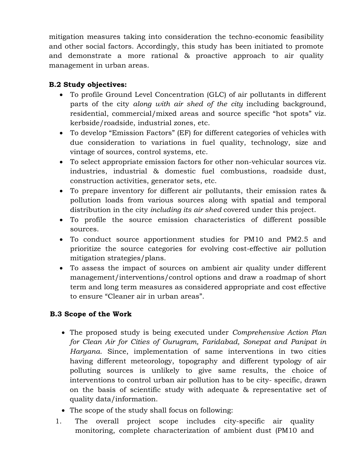mitigation measures taking into consideration the techno-economic feasibility and other social factors. Accordingly, this study has been initiated to promote and demonstrate a more rational & proactive approach to air quality management in urban areas.

## **B.2 Study objectives:**

- To profile Ground Level Concentration (GLC) of air pollutants in different parts of the city *along with air shed of the city* including background, residential, commercial/mixed areas and source specific "hot spots" viz. kerbside/roadside, industrial zones, etc.
- To develop "Emission Factors" (EF) for different categories of vehicles with due consideration to variations in fuel quality, technology, size and vintage of sources, control systems, etc.
- To select appropriate emission factors for other non-vehicular sources viz. industries, industrial & domestic fuel combustions, roadside dust, construction activities, generator sets, etc.
- To prepare inventory for different air pollutants, their emission rates & pollution loads from various sources along with spatial and temporal distribution in the city *including its air shed* covered under this project.
- To profile the source emission characteristics of different possible sources.
- To conduct source apportionment studies for PM10 and PM2.5 and prioritize the source categories for evolving cost-effective air pollution mitigation strategies/plans.
- To assess the impact of sources on ambient air quality under different management/interventions/control options and draw a roadmap of short term and long term measures as considered appropriate and cost effective to ensure "Cleaner air in urban areas".

## **B.3 Scope of the Work**

- The proposed study is being executed under *Comprehensive Action Plan for Clean Air for Cities of Gurugram, Faridabad, Sonepat and Panipat in Haryana*. Since, implementation of same interventions in two cities having different meteorology, topography and different typology of air polluting sources is unlikely to give same results, the choice of interventions to control urban air pollution has to be city- specific, drawn on the basis of scientific study with adequate & representative set of quality data/information.
- The scope of the study shall focus on following:
- 1. The overall project scope includes city-specific air quality monitoring, complete characterization of ambient dust (PM10 and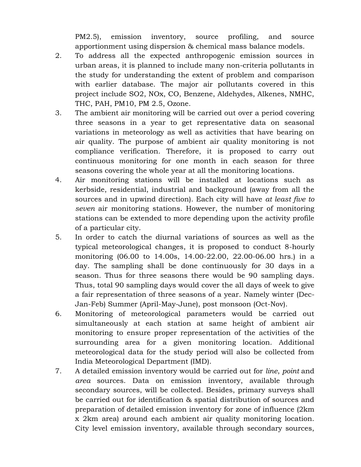PM2.5), emission inventory, source profiling, and source apportionment using dispersion & chemical mass balance models.

- 2. To address all the expected anthropogenic emission sources in urban areas, it is planned to include many non-criteria pollutants in the study for understanding the extent of problem and comparison with earlier database. The major air pollutants covered in this project include SO2, NOx, CO, Benzene, Aldehydes, Alkenes, NMHC, THC, PAH, PM10, PM 2.5, Ozone.
- 3. The ambient air monitoring will be carried out over a period covering three seasons in a year to get representative data on seasonal variations in meteorology as well as activities that have bearing on air quality. The purpose of ambient air quality monitoring is not compliance verification. Therefore, it is proposed to carry out continuous monitoring for one month in each season for three seasons covering the whole year at all the monitoring locations.
- 4. Air monitoring stations will be installed at locations such as kerbside, residential, industrial and background (away from all the sources and in upwind direction). Each city will have *at least five to seven* air monitoring stations. However, the number of monitoring stations can be extended to more depending upon the activity profile of a particular city.
- 5. In order to catch the diurnal variations of sources as well as the typical meteorological changes, it is proposed to conduct 8-hourly monitoring (06.00 to 14.00s, 14.00-22.00, 22.00-06.00 hrs.) in a day. The sampling shall be done continuously for 30 days in a season. Thus for three seasons there would be 90 sampling days. Thus, total 90 sampling days would cover the all days of week to give a fair representation of three seasons of a year. Namely winter (Dec-Jan-Feb) Summer (April-May-June), post monsoon (Oct-Nov).
- 6. Monitoring of meteorological parameters would be carried out simultaneously at each station at same height of ambient air monitoring to ensure proper representation of the activities of the surrounding area for a given monitoring location. Additional meteorological data for the study period will also be collected from India Meteorological Department (IMD).
- 7. A detailed emission inventory would be carried out for *line*, *point* and *area* sources. Data on emission inventory, available through secondary sources, will be collected. Besides, primary surveys shall be carried out for identification & spatial distribution of sources and preparation of detailed emission inventory for zone of influence (2km x 2km area) around each ambient air quality monitoring location. City level emission inventory, available through secondary sources,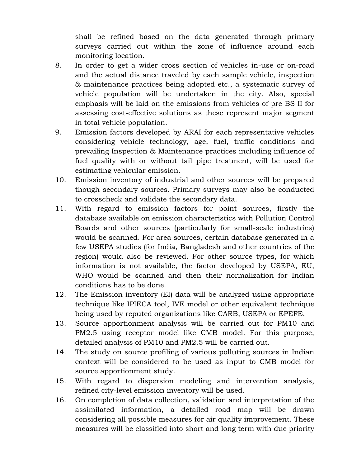shall be refined based on the data generated through primary surveys carried out within the zone of influence around each monitoring location.

- 8. In order to get a wider cross section of vehicles in-use or on-road and the actual distance traveled by each sample vehicle, inspection & maintenance practices being adopted etc., a systematic survey of vehicle population will be undertaken in the city. Also, special emphasis will be laid on the emissions from vehicles of pre-BS II for assessing cost-effective solutions as these represent major segment in total vehicle population.
- 9. Emission factors developed by ARAI for each representative vehicles considering vehicle technology, age, fuel, traffic conditions and prevailing Inspection & Maintenance practices including influence of fuel quality with or without tail pipe treatment, will be used for estimating vehicular emission.
- 10. Emission inventory of industrial and other sources will be prepared though secondary sources. Primary surveys may also be conducted to crosscheck and validate the secondary data.
- 11. With regard to emission factors for point sources, firstly the database available on emission characteristics with Pollution Control Boards and other sources (particularly for small-scale industries) would be scanned. For area sources, certain database generated in a few USEPA studies (for India, Bangladesh and other countries of the region) would also be reviewed. For other source types, for which information is not available, the factor developed by USEPA, EU, WHO would be scanned and then their normalization for Indian conditions has to be done.
- 12. The Emission inventory (EI) data will be analyzed using appropriate technique like IPIECA tool, IVE model or other equivalent technique being used by reputed organizations like CARB, USEPA or EPEFE.
- 13. Source apportionment analysis will be carried out for PM10 and PM2.5 using receptor model like CMB model. For this purpose, detailed analysis of PM10 and PM2.5 will be carried out.
- 14. The study on source profiling of various polluting sources in Indian context will be considered to be used as input to CMB model for source apportionment study.
- 15. With regard to dispersion modeling and intervention analysis, refined city-level emission inventory will be used.
- 16. On completion of data collection, validation and interpretation of the assimilated information, a detailed road map will be drawn considering all possible measures for air quality improvement. These measures will be classified into short and long term with due priority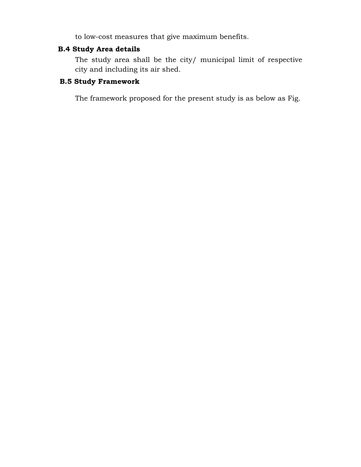to low-cost measures that give maximum benefits.

## **B.4 Study Area details**

The study area shall be the city/ municipal limit of respective city and including its air shed.

## **B.5 Study Framework**

The framework proposed for the present study is as below as Fig.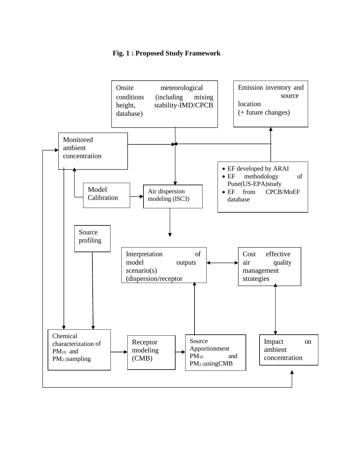#### **Fig. 1 : Proposed Study Framework**

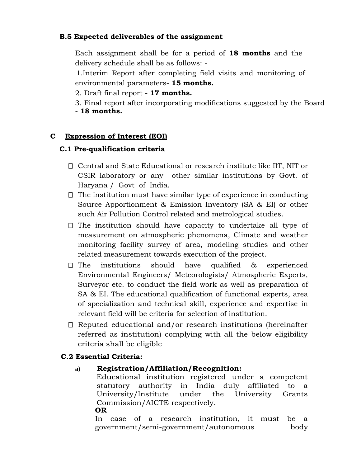## **B.5 Expected deliverables of the assignment**

Each assignment shall be for a period of **18 months** and the delivery schedule shall be as follows: -

1.Interim Report after completing field visits and monitoring of environmental parameters- **15 months.**

2. Draft final report - **17 months.**

3. Final report after incorporating modifications suggested by the Board - **18 months.**

## **C Expression of Interest (EOI)**

## **C.1 Pre-qualification criteria**

- $\Box$  Central and State Educational or research institute like IIT, NIT or CSIR laboratory or any other similar institutions by Govt. of Haryana / Govt of India.
- $\Box$  The institution must have similar type of experience in conducting Source Apportionment & Emission Inventory (SA & EI) or other such Air Pollution Control related and metrological studies.
- $\Box$  The institution should have capacity to undertake all type of measurement on atmospheric phenomena, Climate and weather monitoring facility survey of area, modeling studies and other related measurement towards execution of the project.
- $\Box$  The institutions should have qualified & experienced Environmental Engineers/ Meteorologists/ Atmospheric Experts, Surveyor etc. to conduct the field work as well as preparation of SA & EI. The educational qualification of functional experts, area of specialization and technical skill, experience and expertise in relevant field will be criteria for selection of institution.
- $\Box$  Reputed educational and/or research institutions (hereinafter referred as institution) complying with all the below eligibility criteria shall be eligible

## **C.2 Essential Criteria:**

**a) Registration/Affiliation/Recognition:**

Educational institution registered under a competent statutory authority in India duly affiliated to a University/Institute under the University Grants Commission/AICTE respectively. **OR**

In case of a research institution, it must be a government/semi-government/autonomous body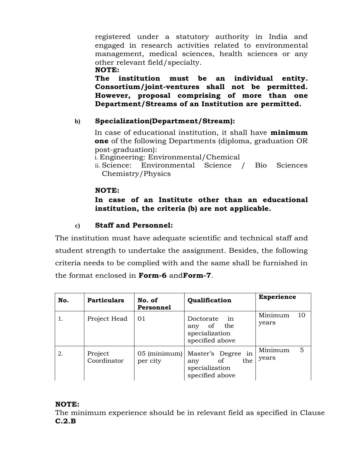registered under a statutory authority in India and engaged in research activities related to environmental management, medical sciences, health sciences or any other relevant field/specialty.

#### **NOTE:**

**The institution must be an individual entity. Consortium/joint-ventures shall not be permitted. However, proposal comprising of more than one Department/Streams of an Institution are permitted.**

## **b) Specialization(Department/Stream):**

In case of educational institution, it shall have **minimum one** of the following Departments (diploma, graduation OR post-graduation):

- i. Engineering: Environmental/Chemical
- ii. Science: Environmental Science / Bio Sciences Chemistry/Physics

#### **NOTE:**

## **In case of an Institute other than an educational institution, the criteria (b) are not applicable.**

## **c) Staff and Personnel:**

The institution must have adequate scientific and technical staff and student strength to undertake the assignment. Besides, the following criteria needs to be complied with and the same shall be furnished in the format enclosed in **Form-6** and**Form-7**.

| No. | <b>Particulars</b>     | No. of<br>Personnel      | Qualification                                                                          | <b>Experience</b>      |
|-----|------------------------|--------------------------|----------------------------------------------------------------------------------------|------------------------|
| 1.  | Project Head           | 01                       | Doctorate<br>in<br>of the<br>any<br>specialization<br>specified above                  | Minimum<br>10<br>years |
| 2.  | Project<br>Coordinator | 05 (minimum)<br>per city | Master's Degree in<br>the<br><sub>of</sub><br>any<br>specialization<br>specified above | Minimum<br>5<br>years  |

## **NOTE:**

The minimum experience should be in relevant field as specified in Clause **C.2.B**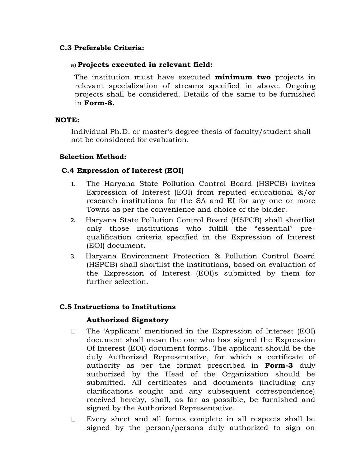## **C.3 Preferable Criteria:**

#### **a) Projects executed in relevant field:**

The institution must have executed **minimum two** projects in relevant specialization of streams specified in above. Ongoing projects shall be considered. Details of the same to be furnished in **Form-8.**

#### **NOTE:**

Individual Ph.D. or master's degree thesis of faculty/student shall not be considered for evaluation.

#### **Selection Method:**

#### **C.4 Expression of Interest (EOI)**

- 1. The Haryana State Pollution Control Board (HSPCB) invites Expression of Interest (EOI) from reputed educational &/or research institutions for the SA and EI for any one or more Towns as per the convenience and choice of the bidder.
- **2.** Haryana State Pollution Control Board (HSPCB) shall shortlist only those institutions who fulfill the "essential" prequalification criteria specified in the Expression of Interest (EOI) document**.**
- 3. Haryana Environment Protection & Pollution Control Board (HSPCB) shall shortlist the institutions, based on evaluation of the Expression of Interest (EOI)s submitted by them for further selection.

#### **C.5 Instructions to Institutions**

#### **Authorized Signatory**

- The 'Applicant' mentioned in the Expression of Interest (EOI)  $\Box$ document shall mean the one who has signed the Expression Of Interest (EOI) document forms. The applicant should be the duly Authorized Representative, for which a certificate of authority as per the format prescribed in **Form-3** duly authorized by the Head of the Organization should be submitted. All certificates and documents (including any clarifications sought and any subsequent correspondence) received hereby, shall, as far as possible, be furnished and signed by the Authorized Representative.
- Every sheet and all forms complete in all respects shall be  $\Box$ signed by the person/persons duly authorized to sign on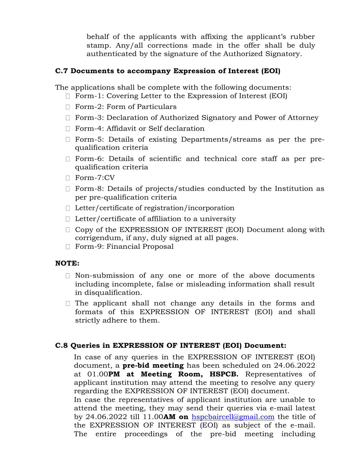behalf of the applicants with affixing the applicant's rubber stamp. Any/all corrections made in the offer shall be duly authenticated by the signature of the Authorized Signatory.

## **C.7 Documents to accompany Expression of Interest (EOI)**

The applications shall be complete with the following documents:

- Form-1: Covering Letter to the Expression of Interest (EOI)
- □ Form-2: Form of Particulars
- □ Form-3: Declaration of Authorized Signatory and Power of Attorney
- □ Form-4: Affidavit or Self declaration
- Form-5: Details of existing Departments/streams as per the prequalification criteria
- Form-6: Details of scientific and technical core staff as per prequalification criteria
- Form-7:CV
- $\Box$  Form-8: Details of projects/studies conducted by the Institution as per pre-qualification criteria
- $\Box$  Letter/certificate of registration/incorporation
- $\Box$  Letter/certificate of affiliation to a university
- □ Copy of the EXPRESSION OF INTEREST (EOI) Document along with corrigendum, if any, duly signed at all pages.
- □ Form-9: Financial Proposal

#### **NOTE:**

- $\Box$  Non-submission of any one or more of the above documents including incomplete, false or misleading information shall result in disqualification.
- $\Box$  The applicant shall not change any details in the forms and formats of this EXPRESSION OF INTEREST (EOI) and shall strictly adhere to them.

#### **C.8 Queries in EXPRESSION OF INTEREST (EOI) Document:**

In case of any queries in the EXPRESSION OF INTEREST (EOI) document, a **pre-bid meeting** has been scheduled on 24.06.2022 at 01.00**PM at Meeting Room, HSPCB.** Representatives of applicant institution may attend the meeting to resolve any query regarding the EXPRESSION OF INTEREST (EOI) document. In case the representatives of applicant institution are unable to attend the meeting, they may send their queries via e-mail latest

by 24.06.2022 till 11.00**AM on** [hspcbaircell@gmail.com](mailto:hspcbaircell@gmail.com) the title of the EXPRESSION OF INTEREST (EOI) as subject of the e-mail. The entire proceedings of the pre-bid meeting including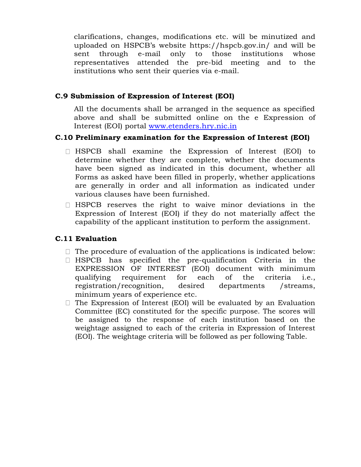clarifications, changes, modifications etc. will be minutized and uploaded on HSPCB's website https://hspcb.gov.in/ and will be sent through e-mail only to those institutions whose representatives attended the pre-bid meeting and to the institutions who sent their queries via e-mail.

#### **C.9 Submission of Expression of Interest (EOI)**

All the documents shall be arranged in the sequence as specified above and shall be submitted online on the e Expression of Interest (EOI) portal [www.etenders.hry.nic.in](http://www.etenders.hry.nic.in/)

#### **C.10 Preliminary examination for the Expression of Interest (EOI)**

- HSPCB shall examine the Expression of Interest (EOI) to determine whether they are complete, whether the documents have been signed as indicated in this document, whether all Forms as asked have been filled in properly, whether applications are generally in order and all information as indicated under various clauses have been furnished.
- $\Box$  HSPCB reserves the right to waive minor deviations in the Expression of Interest (EOI) if they do not materially affect the capability of the applicant institution to perform the assignment.

#### **C.11 Evaluation**

- $\Box$  The procedure of evaluation of the applications is indicated below:
- $\Box$  HSPCB has specified the pre-qualification Criteria in the EXPRESSION OF INTEREST (EOI) document with minimum qualifying requirement for each of the criteria i.e., registration/recognition, desired departments /streams, minimum years of experience etc.
- $\Box$  The Expression of Interest (EOI) will be evaluated by an Evaluation Committee (EC) constituted for the specific purpose. The scores will be assigned to the response of each institution based on the weightage assigned to each of the criteria in Expression of Interest (EOI). The weightage criteria will be followed as per following Table.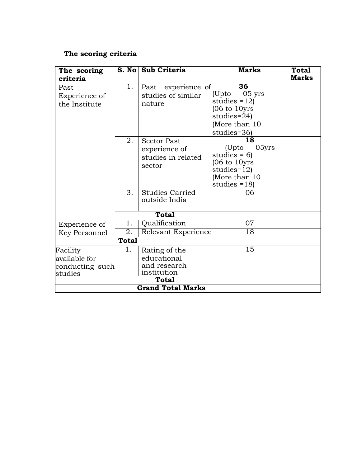## **The scoring criteria**

| The scoring                            |              | S. No Sub Criteria                                                  | <b>Marks</b>                                                                                                                             | <b>Total</b> |
|----------------------------------------|--------------|---------------------------------------------------------------------|------------------------------------------------------------------------------------------------------------------------------------------|--------------|
| criteria                               |              |                                                                     |                                                                                                                                          | Marks        |
| Past<br>Experience of<br>the Institute | 1.           | Past experience of<br>studies of similar<br>nature                  | $\overline{36}$<br>$05$ yrs<br>(Upto<br>studies $=12$<br>$(06 \text{ to } 10 \text{yrs})$<br>studies=24)<br>(More than 10<br>studies=36) |              |
|                                        | 2.           | <b>Sector Past</b><br>experience of<br>studies in related<br>sector | 18<br>05yrs<br>(Upto<br>studies = $6$ )<br>(06 to 10yrs<br>studies= $12$ )<br>(More than 10<br>studies $=18$ )                           |              |
|                                        | 3.           | <b>Studies Carried</b><br>outside India                             | 06                                                                                                                                       |              |
|                                        |              | <b>Total</b>                                                        |                                                                                                                                          |              |
| Experience of                          | 1.           | Qualification                                                       | 07                                                                                                                                       |              |
| Key Personnel                          | 2.           | Relevant Experience                                                 | $\overline{18}$                                                                                                                          |              |
|                                        | <b>Total</b> |                                                                     |                                                                                                                                          |              |
| Facility                               | 1.           | Rating of the                                                       | 15                                                                                                                                       |              |
| available for                          |              | educational                                                         |                                                                                                                                          |              |
| conducting such                        |              | and research                                                        |                                                                                                                                          |              |
| studies                                |              | institution<br>Total                                                |                                                                                                                                          |              |
|                                        |              |                                                                     |                                                                                                                                          |              |
|                                        |              | <b>Grand Total Marks</b>                                            |                                                                                                                                          |              |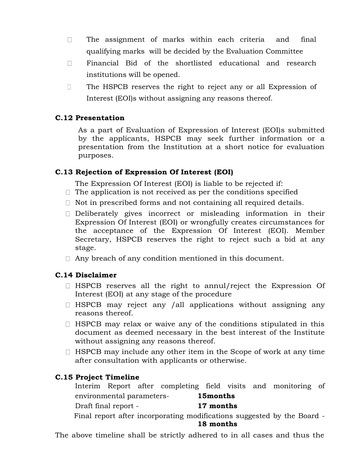- $\Box$ The assignment of marks within each criteria and final qualifying marks will be decided by the Evaluation Committee
- Financial Bid of the shortlisted educational and research  $\Box$ institutions will be opened.
- $\Box$ The HSPCB reserves the right to reject any or all Expression of Interest (EOI)s without assigning any reasons thereof.

## **C.12 Presentation**

As a part of Evaluation of Expression of Interest (EOI)s submitted by the applicants, HSPCB may seek further information or a presentation from the Institution at a short notice for evaluation purposes.

## **C.13 Rejection of Expression Of Interest (EOI)**

The Expression Of Interest (EOI) is liable to be rejected if:

- $\Box$  The application is not received as per the conditions specified
- $\Box$  Not in prescribed forms and not containing all required details.
- Deliberately gives incorrect or misleading information in their Expression Of Interest (EOI) or wrongfully creates circumstances for the acceptance of the Expression Of Interest (EOI). Member Secretary, HSPCB reserves the right to reject such a bid at any stage.
- $\Box$  Any breach of any condition mentioned in this document.

## **C.14 Disclaimer**

- $\Box$  HSPCB reserves all the right to annul/reject the Expression Of Interest (EOI) at any stage of the procedure
- $\Box$  HSPCB may reject any /all applications without assigning any reasons thereof.
- $\Box$  HSPCB may relax or waive any of the conditions stipulated in this document as deemed necessary in the best interest of the Institute without assigning any reasons thereof.
- $\Box$  HSPCB may include any other item in the Scope of work at any time after consultation with applicants or otherwise.

## **C.15 Project Timeline**

Interim Report after completing field visits and monitoring of environmental parameters- **15months** Draft final report - **17 months** Final report after incorporating modifications suggested by the Board -

#### **18 months**

The above timeline shall be strictly adhered to in all cases and thus the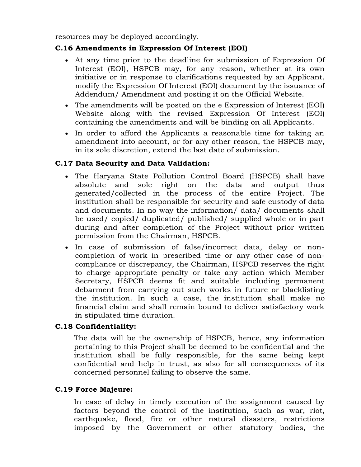resources may be deployed accordingly.

## **C.16 Amendments in Expression Of Interest (EOI)**

- At any time prior to the deadline for submission of Expression Of Interest (EOI), HSPCB may, for any reason, whether at its own initiative or in response to clarifications requested by an Applicant, modify the Expression Of Interest (EOI) document by the issuance of Addendum/ Amendment and posting it on the Official Website.
- The amendments will be posted on the e Expression of Interest (EOI) Website along with the revised Expression Of Interest (EOI) containing the amendments and will be binding on all Applicants.
- In order to afford the Applicants a reasonable time for taking an amendment into account, or for any other reason, the HSPCB may, in its sole discretion, extend the last date of submission.

## **C.17 Data Security and Data Validation:**

- The Haryana State Pollution Control Board (HSPCB) shall have absolute and sole right on the data and output thus generated/collected in the process of the entire Project. The institution shall be responsible for security and safe custody of data and documents. In no way the information/ data/ documents shall be used/ copied/ duplicated/ published/ supplied whole or in part during and after completion of the Project without prior written permission from the Chairman, HSPCB.
- In case of submission of false/incorrect data, delay or noncompletion of work in prescribed time or any other case of noncompliance or discrepancy, the Chairman, HSPCB reserves the right to charge appropriate penalty or take any action which Member Secretary, HSPCB deems fit and suitable including permanent debarment from carrying out such works in future or blacklisting the institution. In such a case, the institution shall make no financial claim and shall remain bound to deliver satisfactory work in stipulated time duration.

## **C.18 Confidentiality:**

The data will be the ownership of HSPCB, hence, any information pertaining to this Project shall be deemed to be confidential and the institution shall be fully responsible, for the same being kept confidential and help in trust, as also for all consequences of its concerned personnel failing to observe the same.

#### **C.19 Force Majeure:**

In case of delay in timely execution of the assignment caused by factors beyond the control of the institution, such as war, riot, earthquake, flood, fire or other natural disasters, restrictions imposed by the Government or other statutory bodies, the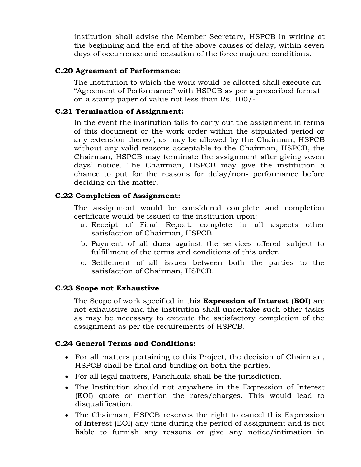institution shall advise the Member Secretary, HSPCB in writing at the beginning and the end of the above causes of delay, within seven days of occurrence and cessation of the force majeure conditions.

#### **C.20 Agreement of Performance:**

The Institution to which the work would be allotted shall execute an "Agreement of Performance" with HSPCB as per a prescribed format on a stamp paper of value not less than Rs. 100/-

## **C.21 Termination of Assignment:**

In the event the institution fails to carry out the assignment in terms of this document or the work order within the stipulated period or any extension thereof, as may be allowed by the Chairman, HSPCB without any valid reasons acceptable to the Chairman, HSPCB, the Chairman, HSPCB may terminate the assignment after giving seven days' notice. The Chairman, HSPCB may give the institution a chance to put for the reasons for delay/non- performance before deciding on the matter.

## **C.22 Completion of Assignment:**

The assignment would be considered complete and completion certificate would be issued to the institution upon:

- a. Receipt of Final Report, complete in all aspects other satisfaction of Chairman, HSPCB.
- b. Payment of all dues against the services offered subject to fulfillment of the terms and conditions of this order.
- c. Settlement of all issues between both the parties to the satisfaction of Chairman, HSPCB.

#### **C.23 Scope not Exhaustive**

The Scope of work specified in this **Expression of Interest (EOI)** are not exhaustive and the institution shall undertake such other tasks as may be necessary to execute the satisfactory completion of the assignment as per the requirements of HSPCB.

## **C.24 General Terms and Conditions:**

- For all matters pertaining to this Project, the decision of Chairman, HSPCB shall be final and binding on both the parties.
- For all legal matters, Panchkula shall be the jurisdiction.
- The Institution should not anywhere in the Expression of Interest (EOI) quote or mention the rates/charges. This would lead to disqualification.
- The Chairman, HSPCB reserves the right to cancel this Expression of Interest (EOI) any time during the period of assignment and is not liable to furnish any reasons or give any notice/intimation in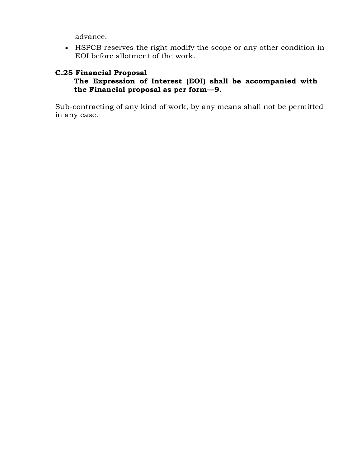advance.

• HSPCB reserves the right modify the scope or any other condition in EOI before allotment of the work.

## **C.25 Financial Proposal**

## **The Expression of Interest (EOI) shall be accompanied with the Financial proposal as per form—9.**

Sub-contracting of any kind of work, by any means shall not be permitted in any case.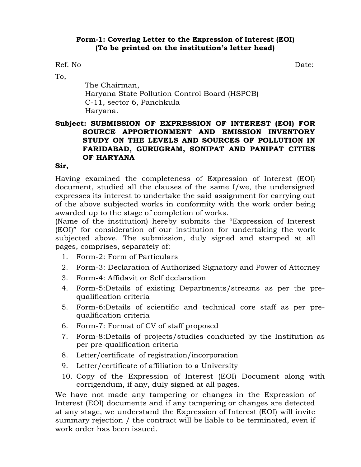#### **Form-1: Covering Letter to the Expression of Interest (EOI) (To be printed on the institution's letter head)**

Ref. No Date:

To,

The Chairman, Haryana State Pollution Control Board (HSPCB) C-11, sector 6, Panchkula Haryana.

## **Subject: SUBMISSION OF EXPRESSION OF INTEREST (EOI) FOR SOURCE APPORTIONMENT AND EMISSION INVENTORY STUDY ON THE LEVELS AND SOURCES OF POLLUTION IN FARIDABAD, GURUGRAM, SONIPAT AND PANIPAT CITIES OF HARYANA**

## **Sir,**

Having examined the completeness of Expression of Interest (EOI) document, studied all the clauses of the same I/we, the undersigned expresses its interest to undertake the said assignment for carrying out of the above subjected works in conformity with the work order being awarded up to the stage of completion of works.

(Name of the institution) hereby submits the "Expression of Interest (EOI)" for consideration of our institution for undertaking the work subjected above. The submission, duly signed and stamped at all pages, comprises, separately of:

- 1. Form-2: Form of Particulars
- 2. Form-3: Declaration of Authorized Signatory and Power of Attorney
- 3. Form-4: Affidavit or Self declaration
- 4. Form-5:Details of existing Departments/streams as per the prequalification criteria
- 5. Form-6:Details of scientific and technical core staff as per prequalification criteria
- 6. Form-7: Format of CV of staff proposed
- 7. Form-8:Details of projects/studies conducted by the Institution as per pre-qualification criteria
- 8. Letter/certificate of registration/incorporation
- 9. Letter/certificate of affiliation to a University
- 10. Copy of the Expression of Interest (EOI) Document along with corrigendum, if any, duly signed at all pages.

We have not made any tampering or changes in the Expression of Interest (EOI) documents and if any tampering or changes are detected at any stage, we understand the Expression of Interest (EOI) will invite summary rejection / the contract will be liable to be terminated, even if work order has been issued.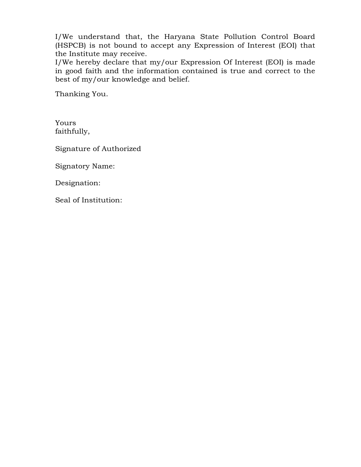I/We understand that, the Haryana State Pollution Control Board (HSPCB) is not bound to accept any Expression of Interest (EOI) that the Institute may receive.

I/We hereby declare that my/our Expression Of Interest (EOI) is made in good faith and the information contained is true and correct to the best of my/our knowledge and belief.

Thanking You.

Yours faithfully,

Signature of Authorized

Signatory Name:

Designation:

Seal of Institution: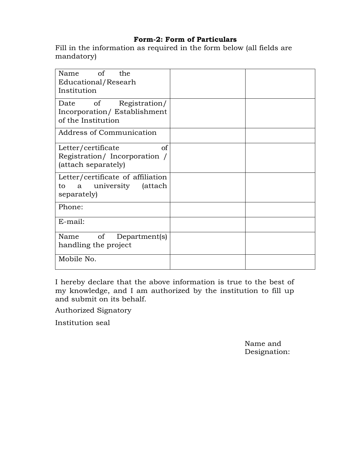## **Form-2: Form of Particulars**

Fill in the information as required in the form below (all fields are mandatory)

| of<br>the<br><b>Name</b><br>Educational/Researh<br>Institution                               |  |
|----------------------------------------------------------------------------------------------|--|
| Registration/<br>of<br>Date<br>Incorporation/Establishment<br>of the Institution             |  |
| Address of Communication                                                                     |  |
| <sub>of</sub><br>Letter/certificate<br>Registration/Incorporation /<br>(attach separately)   |  |
| Letter/certificate of affiliation<br>university<br><i>(attach)</i><br>a<br>to<br>separately) |  |
| Phone:                                                                                       |  |
| $E$ -mail:                                                                                   |  |
| of<br>Department(s)<br>Name<br>handling the project                                          |  |
| Mobile No.                                                                                   |  |

I hereby declare that the above information is true to the best of my knowledge, and I am authorized by the institution to fill up and submit on its behalf.

Authorized Signatory

Institution seal

Name and Designation: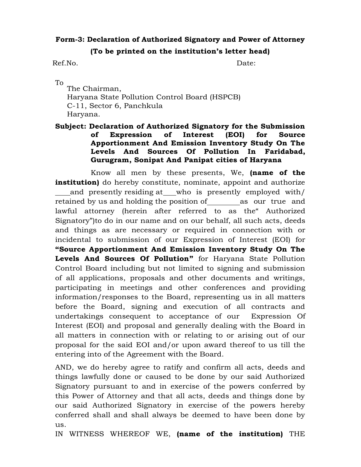# **Form-3: Declaration of Authorized Signatory and Power of Attorney**

#### **(To be printed on the institution's letter head)**

Ref.No. Date:

To

The Chairman, Haryana State Pollution Control Board (HSPCB) C-11, Sector 6, Panchkula Haryana.

## **Subject: Declaration of Authorized Signatory for the Submission of Expression of Interest (EOI) for Source Apportionment And Emission Inventory Study On The Levels And Sources Of Pollution In Faridabad, Gurugram, Sonipat And Panipat cities of Haryana**

Know all men by these presents, We, **(name of the institution)** do hereby constitute, nominate, appoint and authorize and presently residing at who is presently employed with/ retained by us and holding the position of \_\_\_\_\_\_\_\_\_ as our true and lawful attorney (herein after referred to as the" Authorized Signatory")to do in our name and on our behalf, all such acts, deeds and things as are necessary or required in connection with or incidental to submission of our Expression of Interest (EOI) for **"Source Apportionment And Emission Inventory Study On The Levels And Sources Of Pollution"** for Haryana State Pollution Control Board including but not limited to signing and submission of all applications, proposals and other documents and writings, participating in meetings and other conferences and providing information/responses to the Board, representing us in all matters before the Board, signing and execution of all contracts and undertakings consequent to acceptance of our Expression Of Interest (EOI) and proposal and generally dealing with the Board in all matters in connection with or relating to or arising out of our proposal for the said EOI and/or upon award thereof to us till the entering into of the Agreement with the Board.

AND, we do hereby agree to ratify and confirm all acts, deeds and things lawfully done or caused to be done by our said Authorized Signatory pursuant to and in exercise of the powers conferred by this Power of Attorney and that all acts, deeds and things done by our said Authorized Signatory in exercise of the powers hereby conferred shall and shall always be deemed to have been done by us.

IN WITNESS WHEREOF WE, **(name of the institution)** THE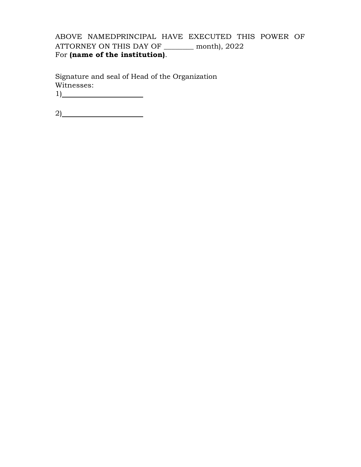## ABOVE NAMEDPRINCIPAL HAVE EXECUTED THIS POWER OF ATTORNEY ON THIS DAY OF \_\_\_\_\_\_\_\_ month), 2022 For **(name of the institution)**.

Signature and seal of Head of the Organization Witnesses: 1)

2)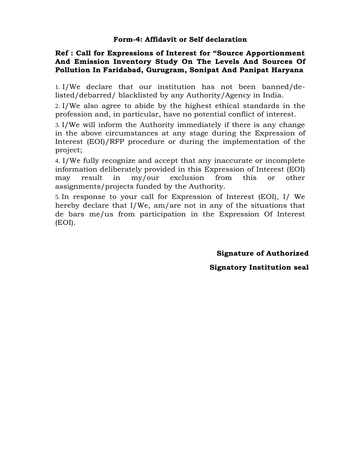## **Ref : Call for Expressions of Interest for "Source Apportionment And Emission Inventory Study On The Levels And Sources Of Pollution In Faridabad, Gurugram, Sonipat And Panipat Haryana**

1. I/We declare that our institution has not been banned/delisted/debarred/ blacklisted by any Authority/Agency in India.

2. I/We also agree to abide by the highest ethical standards in the profession and, in particular, have no potential conflict of interest.

3. I/We will inform the Authority immediately if there is any change in the above circumstances at any stage during the Expression of Interest (EOI)/RFP procedure or during the implementation of the project;

4. I/We fully recognize and accept that any inaccurate or incomplete information deliberately provided in this Expression of Interest (EOI) may result in my/our exclusion from this or other assignments/projects funded by the Authority.

5. In response to your call for Expression of Interest (EOI), I/ We hereby declare that I/We, am/are not in any of the situations that de bars me/us from participation in the Expression Of Interest (EOI).

**Signature of Authorized** 

**Signatory Institution seal**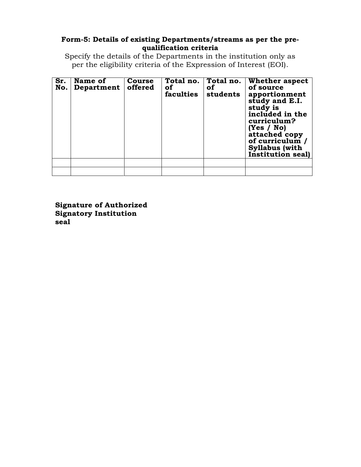#### **Form-5: Details of existing Departments/streams as per the prequalification criteria**

Specify the details of the Departments in the institution only as per the eligibility criteria of the Expression of Interest (EOI).

| Sr.<br>No. | Name of<br>Department | Course<br>offered | Total no.<br>of<br>faculties | Total no.<br>of<br>students | Whether aspect<br>of source<br>apportionment<br>study and E.I.<br>study is<br>included in the<br>curriculum?<br>(Yes / No)<br>attached copy<br>of curriculum $\mu$<br><b>Syllabus</b> (with<br>Institution seal) |
|------------|-----------------------|-------------------|------------------------------|-----------------------------|------------------------------------------------------------------------------------------------------------------------------------------------------------------------------------------------------------------|
|            |                       |                   |                              |                             |                                                                                                                                                                                                                  |
|            |                       |                   |                              |                             |                                                                                                                                                                                                                  |

**Signature of Authorized Signatory Institution seal**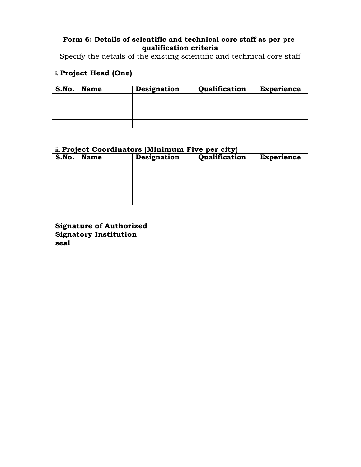## **Form-6: Details of scientific and technical core staff as per prequalification criteria**

Specify the details of the existing scientific and technical core staff

## **i. Project Head (One)**

| S.No. | <b>Name</b> | Designation | Qualification | <b>Experience</b> |
|-------|-------------|-------------|---------------|-------------------|
|       |             |             |               |                   |
|       |             |             |               |                   |
|       |             |             |               |                   |
|       |             |             |               |                   |

## **ii. Project Coordinators (Minimum Five per city)**

| S.No. | <b>Name</b> | <b>Designation</b> | Qualification | <b>Experience</b> |
|-------|-------------|--------------------|---------------|-------------------|
|       |             |                    |               |                   |
|       |             |                    |               |                   |
|       |             |                    |               |                   |
|       |             |                    |               |                   |
|       |             |                    |               |                   |

**Signature of Authorized Signatory Institution seal**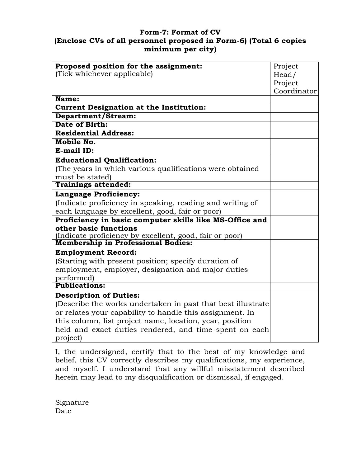## **Form-7: Format of CV (Enclose CVs of all personnel proposed in Form-6) (Total 6 copies minimum per city)**

| Proposed position for the assignment:                                                                | Project     |
|------------------------------------------------------------------------------------------------------|-------------|
| (Tick whichever applicable)                                                                          | Head/       |
|                                                                                                      | Project     |
| Name:                                                                                                | Coordinator |
| <b>Current Designation at the Institution:</b>                                                       |             |
| Department/Stream:                                                                                   |             |
| Date of Birth:                                                                                       |             |
| <b>Residential Address:</b>                                                                          |             |
| Mobile No.                                                                                           |             |
| E-mail ID:                                                                                           |             |
|                                                                                                      |             |
| <b>Educational Qualification:</b>                                                                    |             |
| (The years in which various qualifications were obtained                                             |             |
| must be stated)                                                                                      |             |
| <b>Trainings attended:</b>                                                                           |             |
| <b>Language Proficiency:</b>                                                                         |             |
| (Indicate proficiency in speaking, reading and writing of                                            |             |
| each language by excellent, good, fair or poor)                                                      |             |
| Proficiency in basic computer skills like MS-Office and                                              |             |
| other basic functions                                                                                |             |
| (Indicate proficiency by excellent, good, fair or poor)<br><b>Membership in Professional Bodies:</b> |             |
|                                                                                                      |             |
| <b>Employment Record:</b>                                                                            |             |
| (Starting with present position; specify duration of                                                 |             |
| employment, employer, designation and major duties                                                   |             |
| performed)                                                                                           |             |
| <b>Publications:</b>                                                                                 |             |
| <b>Description of Duties:</b>                                                                        |             |
| (Describe the works undertaken in past that best illustrate                                          |             |
| or relates your capability to handle this assignment. In                                             |             |
| this column, list project name, location, year, position                                             |             |
| held and exact duties rendered, and time spent on each                                               |             |
| project)                                                                                             |             |

I, the undersigned, certify that to the best of my knowledge and belief, this CV correctly describes my qualifications, my experience, and myself. I understand that any willful misstatement described herein may lead to my disqualification or dismissal, if engaged.

Signature Date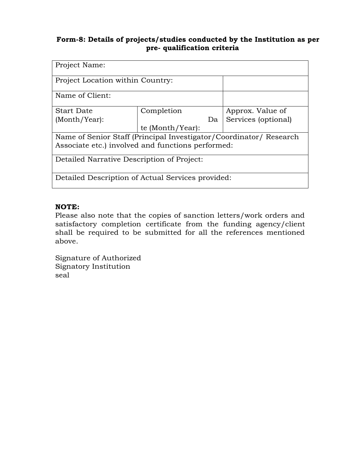## **Form-8: Details of projects/studies conducted by the Institution as per pre- qualification criteria**

| Project Name:                                                      |                  |    |                     |
|--------------------------------------------------------------------|------------------|----|---------------------|
| Project Location within Country:                                   |                  |    |                     |
| Name of Client:                                                    |                  |    |                     |
| <b>Start Date</b>                                                  | Completion       |    | Approx. Value of    |
| $(Month/Year)$ :                                                   |                  | Da | Services (optional) |
|                                                                    | te (Month/Year): |    |                     |
| Name of Senior Staff (Principal Investigator/Coordinator/ Research |                  |    |                     |
| Associate etc.) involved and functions performed:                  |                  |    |                     |
| Detailed Narrative Description of Project:                         |                  |    |                     |
| Detailed Description of Actual Services provided:                  |                  |    |                     |

## **NOTE:**

Please also note that the copies of sanction letters/work orders and satisfactory completion certificate from the funding agency/client shall be required to be submitted for all the references mentioned above.

Signature of Authorized Signatory Institution seal